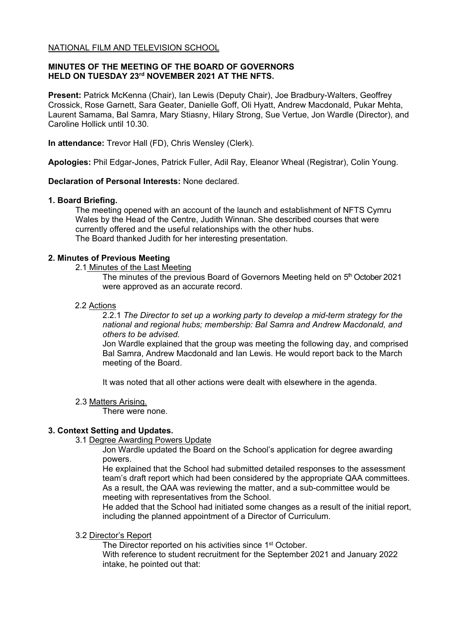## **MINUTES OF THE MEETING OF THE BOARD OF GOVERNORS HELD ON TUESDAY 23rd NOVEMBER 2021 AT THE NFTS.**

**Present:** Patrick McKenna (Chair), Ian Lewis (Deputy Chair), Joe Bradbury-Walters, Geoffrey Crossick, Rose Garnett, Sara Geater, Danielle Goff, Oli Hyatt, Andrew Macdonald, Pukar Mehta, Laurent Samama, Bal Samra, Mary Stiasny, Hilary Strong, Sue Vertue, Jon Wardle (Director), and Caroline Hollick until 10.30.

**In attendance:** Trevor Hall (FD), Chris Wensley (Clerk).

**Apologies:** Phil Edgar-Jones, Patrick Fuller, Adil Ray, Eleanor Wheal (Registrar), Colin Young.

# **Declaration of Personal Interests:** None declared.

## **1. Board Briefing.**

The meeting opened with an account of the launch and establishment of NFTS Cymru Wales by the Head of the Centre, Judith Winnan. She described courses that were currently offered and the useful relationships with the other hubs. The Board thanked Judith for her interesting presentation.

## **2. Minutes of Previous Meeting**

2.1 Minutes of the Last Meeting

The minutes of the previous Board of Governors Meeting held on 5<sup>th</sup> October 2021 were approved as an accurate record.

## 2.2 Actions

2.2.1 *The Director to set up a working party to develop a mid-term strategy for the national and regional hubs; membership: Bal Samra and Andrew Macdonald, and others to be advised.*

Jon Wardle explained that the group was meeting the following day, and comprised Bal Samra, Andrew Macdonald and Ian Lewis. He would report back to the March meeting of the Board.

It was noted that all other actions were dealt with elsewhere in the agenda.

### 2.3 Matters Arising.

There were none.

# **3. Context Setting and Updates.**

3.1 Degree Awarding Powers Update

Jon Wardle updated the Board on the School's application for degree awarding powers.

He explained that the School had submitted detailed responses to the assessment team's draft report which had been considered by the appropriate QAA committees. As a result, the QAA was reviewing the matter, and a sub-committee would be meeting with representatives from the School.

He added that the School had initiated some changes as a result of the initial report, including the planned appointment of a Director of Curriculum.

### 3.2 Director's Report

The Director reported on his activities since 1<sup>st</sup> October.

With reference to student recruitment for the September 2021 and January 2022 intake, he pointed out that: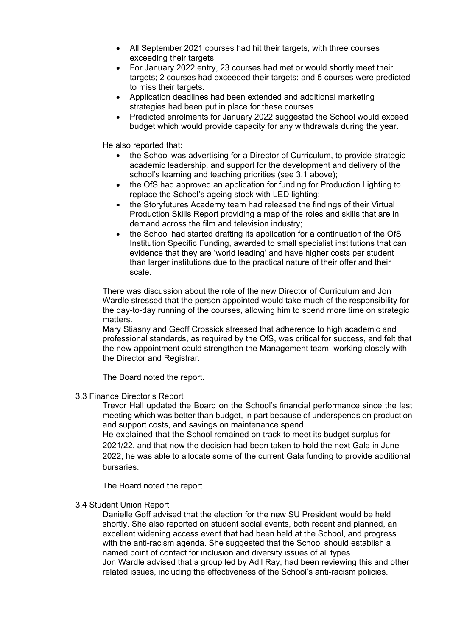- All September 2021 courses had hit their targets, with three courses exceeding their targets.
- For January 2022 entry, 23 courses had met or would shortly meet their targets; 2 courses had exceeded their targets; and 5 courses were predicted to miss their targets.
- Application deadlines had been extended and additional marketing strategies had been put in place for these courses.
- Predicted enrolments for January 2022 suggested the School would exceed budget which would provide capacity for any withdrawals during the year.

He also reported that:

- the School was advertising for a Director of Curriculum, to provide strategic academic leadership, and support for the development and delivery of the school's learning and teaching priorities (see 3.1 above);
- the OfS had approved an application for funding for Production Lighting to replace the School's ageing stock with LED lighting;
- the Storyfutures Academy team had released the findings of their Virtual Production Skills Report providing a map of the roles and skills that are in demand across the film and television industry;
- the School had started drafting its application for a continuation of the OfS Institution Specific Funding, awarded to small specialist institutions that can evidence that they are 'world leading' and have higher costs per student than larger institutions due to the practical nature of their offer and their scale.

There was discussion about the role of the new Director of Curriculum and Jon Wardle stressed that the person appointed would take much of the responsibility for the day-to-day running of the courses, allowing him to spend more time on strategic matters.

Mary Stiasny and Geoff Crossick stressed that adherence to high academic and professional standards, as required by the OfS, was critical for success, and felt that the new appointment could strengthen the Management team, working closely with the Director and Registrar.

The Board noted the report.

### 3.3 Finance Director's Report

Trevor Hall updated the Board on the School's financial performance since the last meeting which was better than budget, in part because of underspends on production and support costs, and savings on maintenance spend.

He explained that the School remained on track to meet its budget surplus for 2021/22, and that now the decision had been taken to hold the next Gala in June 2022, he was able to allocate some of the current Gala funding to provide additional bursaries.

The Board noted the report.

### 3.4 Student Union Report

Danielle Goff advised that the election for the new SU President would be held shortly. She also reported on student social events, both recent and planned, an excellent widening access event that had been held at the School, and progress with the anti-racism agenda. She suggested that the School should establish a named point of contact for inclusion and diversity issues of all types. Jon Wardle advised that a group led by Adil Ray, had been reviewing this and other

related issues, including the effectiveness of the School's anti-racism policies.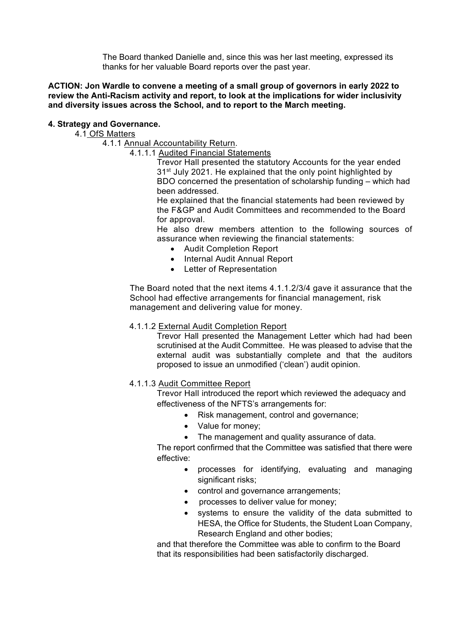The Board thanked Danielle and, since this was her last meeting, expressed its thanks for her valuable Board reports over the past year.

## **ACTION: Jon Wardle to convene a meeting of a small group of governors in early 2022 to review the Anti-Racism activity and report, to look at the implications for wider inclusivity and diversity issues across the School, and to report to the March meeting.**

# **4. Strategy and Governance.**

4.1 OfS Matters

4.1.1 Annual Accountability Return.

4.1.1.1 Audited Financial Statements

Trevor Hall presented the statutory Accounts for the year ended 31<sup>st</sup> July 2021. He explained that the only point highlighted by BDO concerned the presentation of scholarship funding – which had been addressed.

He explained that the financial statements had been reviewed by the F&GP and Audit Committees and recommended to the Board for approval.

He also drew members attention to the following sources of assurance when reviewing the financial statements:

- Audit Completion Report
- Internal Audit Annual Report
- Letter of Representation

The Board noted that the next items 4.1.1.2/3/4 gave it assurance that the School had effective arrangements for financial management, risk management and delivering value for money.

# 4.1.1.2 External Audit Completion Report

Trevor Hall presented the Management Letter which had had been scrutinised at the Audit Committee. He was pleased to advise that the external audit was substantially complete and that the auditors proposed to issue an unmodified ('clean') audit opinion.

4.1.1.3 Audit Committee Report

Trevor Hall introduced the report which reviewed the adequacy and effectiveness of the NFTS's arrangements for:

- Risk management, control and governance;
- Value for money;
- The management and quality assurance of data.

The report confirmed that the Committee was satisfied that there were effective:

- processes for identifying, evaluating and managing significant risks;
- control and governance arrangements;
- processes to deliver value for money;
- systems to ensure the validity of the data submitted to HESA, the Office for Students, the Student Loan Company, Research England and other bodies;

and that therefore the Committee was able to confirm to the Board that its responsibilities had been satisfactorily discharged.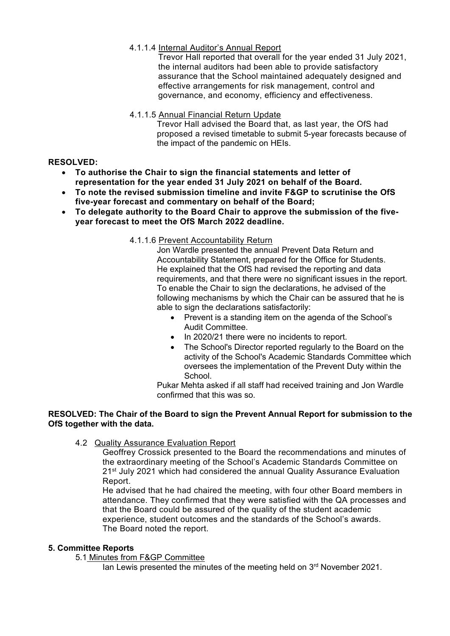# 4.1.1.4 Internal Auditor's Annual Report

Trevor Hall reported that overall for the year ended 31 July 2021, the internal auditors had been able to provide satisfactory assurance that the School maintained adequately designed and effective arrangements for risk management, control and governance, and economy, efficiency and effectiveness.

# 4.1.1.5 Annual Financial Return Update

Trevor Hall advised the Board that, as last year, the OfS had proposed a revised timetable to submit 5-year forecasts because of the impact of the pandemic on HEIs.

# **RESOLVED:**

- **To authorise the Chair to sign the financial statements and letter of representation for the year ended 31 July 2021 on behalf of the Board.**
- **To note the revised submission timeline and invite F&GP to scrutinise the OfS five-year forecast and commentary on behalf of the Board;**
- **To delegate authority to the Board Chair to approve the submission of the fiveyear forecast to meet the OfS March 2022 deadline.**
	- 4.1.1.6 Prevent Accountability Return

Jon Wardle presented the annual Prevent Data Return and Accountability Statement, prepared for the Office for Students. He explained that the OfS had revised the reporting and data requirements, and that there were no significant issues in the report. To enable the Chair to sign the declarations, he advised of the following mechanisms by which the Chair can be assured that he is able to sign the declarations satisfactorily:

- Prevent is a standing item on the agenda of the School's Audit Committee.
- In 2020/21 there were no incidents to report.
- The School's Director reported regularly to the Board on the activity of the School's Academic Standards Committee which oversees the implementation of the Prevent Duty within the School.

Pukar Mehta asked if all staff had received training and Jon Wardle confirmed that this was so.

# **RESOLVED: The Chair of the Board to sign the Prevent Annual Report for submission to the OfS together with the data.**

4.2 Quality Assurance Evaluation Report

Geoffrey Crossick presented to the Board the recommendations and minutes of the extraordinary meeting of the School's Academic Standards Committee on 21<sup>st</sup> July 2021 which had considered the annual Quality Assurance Evaluation Report.

He advised that he had chaired the meeting, with four other Board members in attendance. They confirmed that they were satisfied with the QA processes and that the Board could be assured of the quality of the student academic experience, student outcomes and the standards of the School's awards. The Board noted the report.

# **5. Committee Reports**

5.1 Minutes from F&GP Committee

Ian Lewis presented the minutes of the meeting held on 3<sup>rd</sup> November 2021.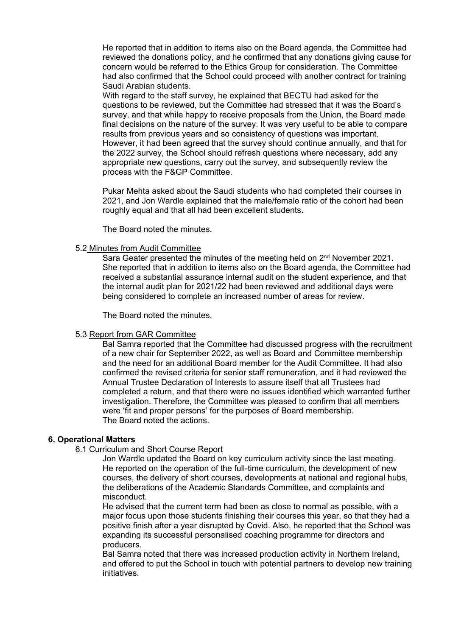He reported that in addition to items also on the Board agenda, the Committee had reviewed the donations policy, and he confirmed that any donations giving cause for concern would be referred to the Ethics Group for consideration. The Committee had also confirmed that the School could proceed with another contract for training Saudi Arabian students.

With regard to the staff survey, he explained that BECTU had asked for the questions to be reviewed, but the Committee had stressed that it was the Board's survey, and that while happy to receive proposals from the Union, the Board made final decisions on the nature of the survey. It was very useful to be able to compare results from previous years and so consistency of questions was important. However, it had been agreed that the survey should continue annually, and that for the 2022 survey, the School should refresh questions where necessary, add any appropriate new questions, carry out the survey, and subsequently review the process with the F&GP Committee.

Pukar Mehta asked about the Saudi students who had completed their courses in 2021, and Jon Wardle explained that the male/female ratio of the cohort had been roughly equal and that all had been excellent students.

The Board noted the minutes.

#### 5.2 Minutes from Audit Committee

Sara Geater presented the minutes of the meeting held on  $2<sup>nd</sup>$  November 2021. She reported that in addition to items also on the Board agenda, the Committee had received a substantial assurance internal audit on the student experience, and that the internal audit plan for 2021/22 had been reviewed and additional days were being considered to complete an increased number of areas for review.

The Board noted the minutes.

#### 5.3 Report from GAR Committee

Bal Samra reported that the Committee had discussed progress with the recruitment of a new chair for September 2022, as well as Board and Committee membership and the need for an additional Board member for the Audit Committee. It had also confirmed the revised criteria for senior staff remuneration, and it had reviewed the Annual Trustee Declaration of Interests to assure itself that all Trustees had completed a return, and that there were no issues identified which warranted further investigation. Therefore, the Committee was pleased to confirm that all members were 'fit and proper persons' for the purposes of Board membership. The Board noted the actions.

#### **6. Operational Matters**

6.1 Curriculum and Short Course Report

Jon Wardle updated the Board on key curriculum activity since the last meeting. He reported on the operation of the full-time curriculum, the development of new courses, the delivery of short courses, developments at national and regional hubs, the deliberations of the Academic Standards Committee, and complaints and misconduct.

He advised that the current term had been as close to normal as possible, with a major focus upon those students finishing their courses this year, so that they had a positive finish after a year disrupted by Covid. Also, he reported that the School was expanding its successful personalised coaching programme for directors and producers.

Bal Samra noted that there was increased production activity in Northern Ireland, and offered to put the School in touch with potential partners to develop new training initiatives.